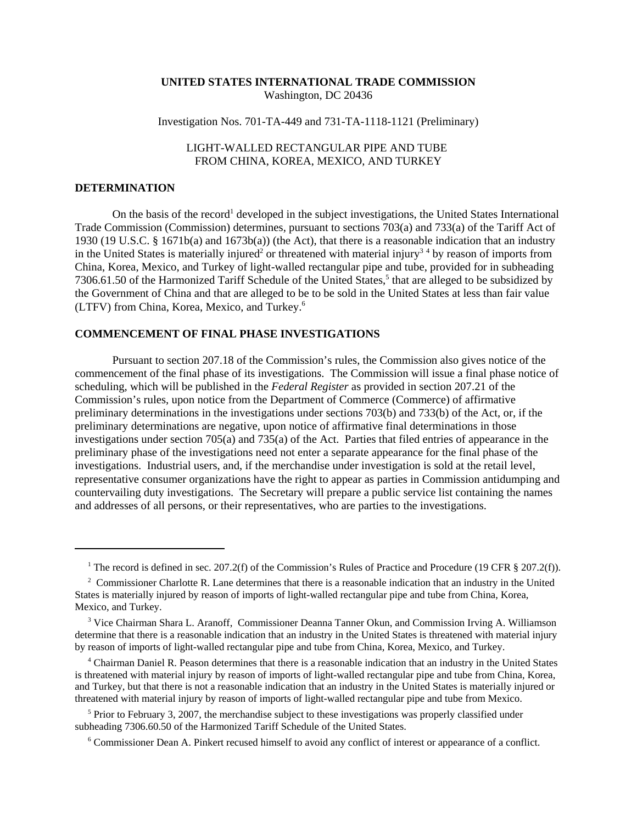## **UNITED STATES INTERNATIONAL TRADE COMMISSION** Washington, DC 20436

### Investigation Nos. 701-TA-449 and 731-TA-1118-1121 (Preliminary)

# LIGHT-WALLED RECTANGULAR PIPE AND TUBE FROM CHINA, KOREA, MEXICO, AND TURKEY

#### **DETERMINATION**

On the basis of the record<sup>1</sup> developed in the subject investigations, the United States International Trade Commission (Commission) determines, pursuant to sections 703(a) and 733(a) of the Tariff Act of 1930 (19 U.S.C. § 1671b(a) and 1673b(a)) (the Act), that there is a reasonable indication that an industry in the United States is materially injured<sup>2</sup> or threatened with material injury<sup>34</sup> by reason of imports from China, Korea, Mexico, and Turkey of light-walled rectangular pipe and tube, provided for in subheading 7306.61.50 of the Harmonized Tariff Schedule of the United States,<sup>5</sup> that are alleged to be subsidized by the Government of China and that are alleged to be to be sold in the United States at less than fair value (LTFV) from China, Korea, Mexico, and Turkey.6

## **COMMENCEMENT OF FINAL PHASE INVESTIGATIONS**

Pursuant to section 207.18 of the Commission's rules, the Commission also gives notice of the commencement of the final phase of its investigations. The Commission will issue a final phase notice of scheduling, which will be published in the *Federal Register* as provided in section 207.21 of the Commission's rules, upon notice from the Department of Commerce (Commerce) of affirmative preliminary determinations in the investigations under sections 703(b) and 733(b) of the Act, or, if the preliminary determinations are negative, upon notice of affirmative final determinations in those investigations under section 705(a) and 735(a) of the Act. Parties that filed entries of appearance in the preliminary phase of the investigations need not enter a separate appearance for the final phase of the investigations. Industrial users, and, if the merchandise under investigation is sold at the retail level, representative consumer organizations have the right to appear as parties in Commission antidumping and countervailing duty investigations. The Secretary will prepare a public service list containing the names and addresses of all persons, or their representatives, who are parties to the investigations.

<sup>5</sup> Prior to February 3, 2007, the merchandise subject to these investigations was properly classified under subheading 7306.60.50 of the Harmonized Tariff Schedule of the United States.

<sup>&</sup>lt;sup>1</sup> The record is defined in sec. 207.2(f) of the Commission's Rules of Practice and Procedure (19 CFR § 207.2(f)).

<sup>&</sup>lt;sup>2</sup> Commissioner Charlotte R. Lane determines that there is a reasonable indication that an industry in the United States is materially injured by reason of imports of light-walled rectangular pipe and tube from China, Korea, Mexico, and Turkey.

<sup>&</sup>lt;sup>3</sup> Vice Chairman Shara L. Aranoff, Commissioner Deanna Tanner Okun, and Commission Irving A. Williamson determine that there is a reasonable indication that an industry in the United States is threatened with material injury by reason of imports of light-walled rectangular pipe and tube from China, Korea, Mexico, and Turkey.

 <sup>4</sup> Chairman Daniel R. Peason determines that there is a reasonable indication that an industry in the United States is threatened with material injury by reason of imports of light-walled rectangular pipe and tube from China, Korea, and Turkey, but that there is not a reasonable indication that an industry in the United States is materially injured or threatened with material injury by reason of imports of light-walled rectangular pipe and tube from Mexico.

 <sup>6</sup> Commissioner Dean A. Pinkert recused himself to avoid any conflict of interest or appearance of a conflict.